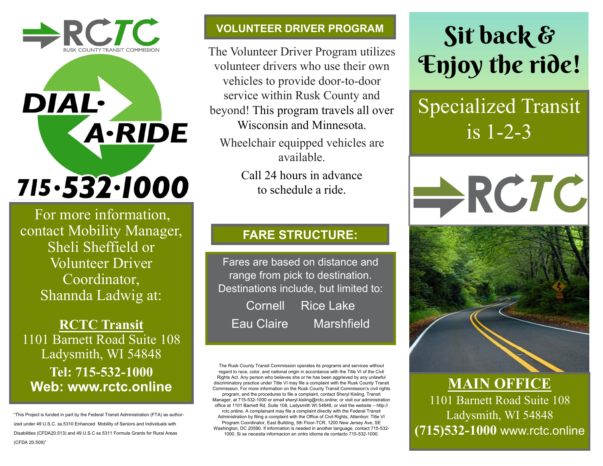# $\triangle$ RCTC

**DIAL·** 

## 715.532.1000

**A-RIDE** 

For more information, contact Mobility Manager, Sheli Sheffield or Volunteer Driver Coordinator, Shannda Ladwig at:

**RCTC Transit**  1101 Barnett Road Suite 108 Ladysmith, WI 54848 **Tel: 715-532-1000 Web: www.rctc.online** 

"This Project is funded in part by the Federal Transit Administration (FTA) as authorized under 49 U.S.C. ss.5310 Enhanced Mobility of Seniors and Individuals with Disabilities (CFDA20.513) and 49 U.S.C ss 5311 Formula Grants for Rural Areas (CFDA 20.509)"

#### **VOLUNTEER DRIVER PROGRAM**

The Volunteer Driver Program utilizes volunteer drivers who use their own vehicles to provide door-to-door service within Rusk County and beyond! This program travels all over Wisconsin and Minnesota.

Wheelchair equipped vehicles are available.

> Call 24 hours in advance to schedule a ride.

#### **FARE STRUCTURE:**

Fares are based on distance and range from pick to destination. Destinations include, but limited to: Cornell Rice Lake Eau Claire Marshfield

The Rusk County Transit Commission operates its programs and services without regard to race, color, and national origin in accordance with the Title VI of the Civil Rights Act. Any person who believes she or he has been aggrieved by any unlawful discriminatory practice under Title VI may file a complaint with the Rusk County Transit Commission. For more information on the Rusk County Transit Commission's civil rights program, and the procedures to file a complaint, contact Sheryl Kisling, Transit Manager, at 715-532-1000 or email sheryl.kisling@rctc.online; or visit our administration office at 1101 Barnett Rd, Suite 108, Ladysmith WI 54848, or visit the website – http:// rctc.online. A complainant may file a complaint directly with the Federal Transit Administration by filing a complaint with the Office of Civil Rights, Attention: Title VI Program Coordinator, East Building, 5th Floor-TCR, 1200 New Jersey Ave, SE Washington, DC 20590. If information is needed in another language, contact 715-532- 1000. Si se necesita informacion en ontro idioma de contacto 715-532-1000.

### Sit back & **Enjoy the ride!**

### Specialized Transit is 1-2-3



**MAIN OFFICE**

1101 Barnett Road Suite 108 Ladysmith, WI 54848 **(715)532-1000** www.rctc.online